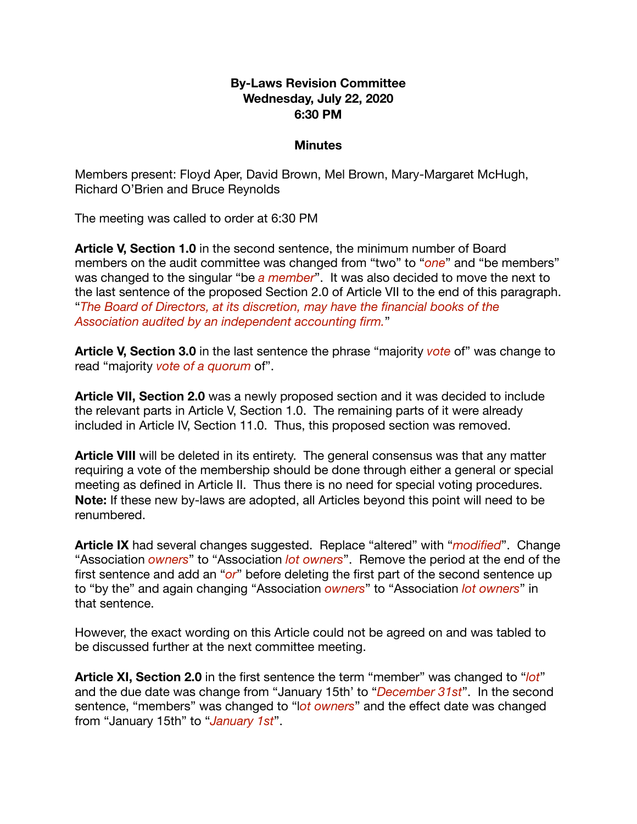#### **By-Laws Revision Committee Wednesday, July 22, 2020 6:30 PM**

#### **Minutes**

Members present: Floyd Aper, David Brown, Mel Brown, Mary-Margaret McHugh, Richard O'Brien and Bruce Reynolds

The meeting was called to order at 6:30 PM

**Article V, Section 1.0** in the second sentence, the minimum number of Board members on the audit committee was changed from "two" to "*one*" and "be members" was changed to the singular "be *a member*". It was also decided to move the next to the last sentence of the proposed Section 2.0 of Article VII to the end of this paragraph. "*The Board of Directors, at its discretion, may have the financial books of the Association audited by an independent accounting firm.*"

**Article V, Section 3.0** in the last sentence the phrase "majority *vote* of" was change to read "majority *vote of a quorum* of".

**Article VII, Section 2.0** was a newly proposed section and it was decided to include the relevant parts in Article V, Section 1.0. The remaining parts of it were already included in Article IV, Section 11.0. Thus, this proposed section was removed.

**Article VIII** will be deleted in its entirety. The general consensus was that any matter requiring a vote of the membership should be done through either a general or special meeting as defined in Article II. Thus there is no need for special voting procedures. **Note:** If these new by-laws are adopted, all Articles beyond this point will need to be renumbered.

**Article IX** had several changes suggested. Replace "altered" with "*modified*". Change "Association *owners*" to "Association *lot owners*". Remove the period at the end of the first sentence and add an "*or*" before deleting the first part of the second sentence up to "by the" and again changing "Association *owners*" to "Association *lot owners*" in that sentence.

However, the exact wording on this Article could not be agreed on and was tabled to be discussed further at the next committee meeting.

**Article XI, Section 2.0** in the first sentence the term "member" was changed to "*lot*" and the due date was change from "January 15th' to "*December 31st*". In the second sentence, "members" was changed to "l*ot owners*" and the effect date was changed from "January 15th" to "*January 1st*".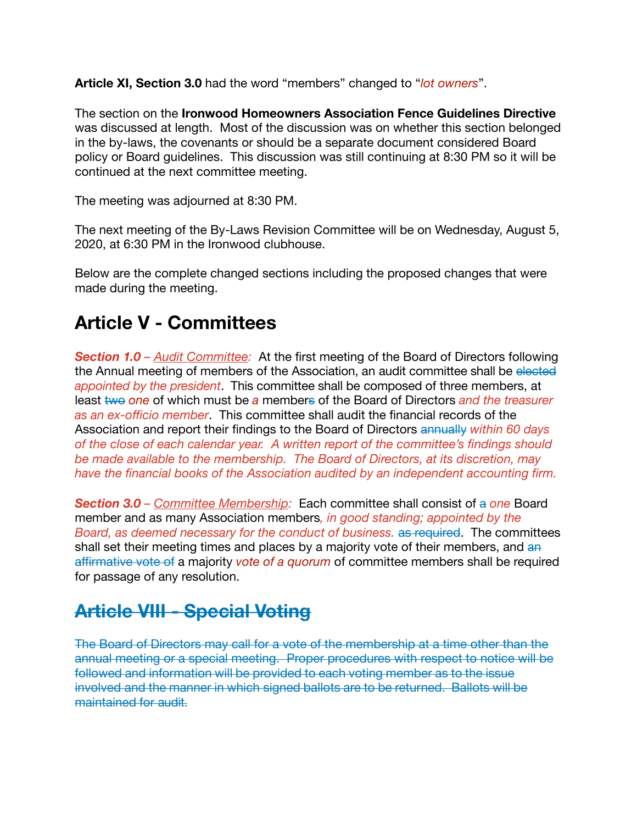**Article XI, Section 3.0** had the word "members" changed to "*lot owners*".

The section on the **Ironwood Homeowners Association Fence Guidelines Directive** was discussed at length. Most of the discussion was on whether this section belonged in the by-laws, the covenants or should be a separate document considered Board policy or Board guidelines. This discussion was still continuing at 8:30 PM so it will be continued at the next committee meeting.

The meeting was adjourned at 8:30 PM.

The next meeting of the By-Laws Revision Committee will be on Wednesday, August 5, 2020, at 6:30 PM in the Ironwood clubhouse.

Below are the complete changed sections including the proposed changes that were made during the meeting.

## **Article V - Committees**

*Section 1.0 – Audit Committee:* At the first meeting of the Board of Directors following the Annual meeting of members of the Association, an audit committee shall be elected *appointed by the president*. This committee shall be composed of three members, at least two *one* of which must be a members of the Board of Directors and the treasurer *as an ex-officio member*. This committee shall audit the financial records of the Association and report their findings to the Board of Directors annually *within 60 days of the close of each calendar year. A written report of the committee's findings should be made available to the membership. The Board of Directors, at its discretion, may have the financial books of the Association audited by an independent accounting firm.* 

*Section 3.0 – Committee Membership:* Each committee shall consist of a *one* Board member and as many Association members*, in good standing; appointed by the Board, as deemed necessary for the conduct of business.* as required. The committees shall set their meeting times and places by a majority vote of their members, and an affirmative vote of a majority *vote of a quorum* of committee members shall be required for passage of any resolution.

## **Article VIII - Special Voting**

The Board of Directors may call for a vote of the membership at a time other than the annual meeting or a special meeting. Proper procedures with respect to notice will be followed and information will be provided to each voting member as to the issue involved and the manner in which signed ballots are to be returned. Ballots will be maintained for audit.